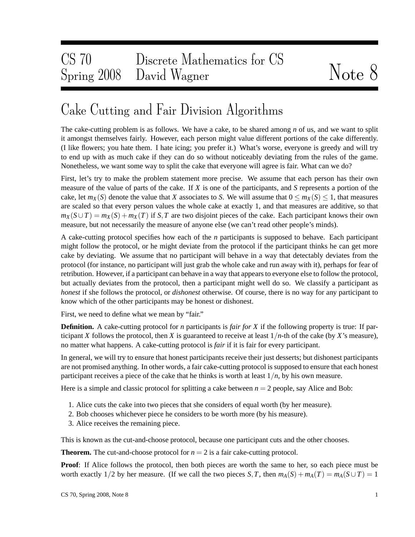## Cake Cutting and Fair Division Algorithms

The cake-cutting problem is as follows. We have a cake, to be shared among *n* of us, and we want to split it amongst themselves fairly. However, each person might value different portions of the cake differently. (I like flowers; you hate them. I hate icing; you prefer it.) What's worse, everyone is greedy and will try to end up with as much cake if they can do so without noticeably deviating from the rules of the game. Nonetheless, we want some way to split the cake that everyone will agree is fair. What can we do?

First, let's try to make the problem statement more precise. We assume that each person has their own measure of the value of parts of the cake. If *X* is one of the participants, and *S* represents a portion of the cake, let  $m_X(S)$  denote the value that *X* associates to *S*. We will assume that  $0 \le m_X(S) \le 1$ , that measures are scaled so that every person values the whole cake at exactly 1, and that measures are additive, so that  $m_X(S \cup T) = m_X(S) + m_X(T)$  if *S*, *T* are two disjoint pieces of the cake. Each participant knows their own measure, but not necessarily the measure of anyone else (we can't read other people's minds).

A cake-cutting protocol specifies how each of the *n* participants is supposed to behave. Each participant might follow the protocol, or he might deviate from the protocol if the participant thinks he can get more cake by deviating. We assume that no participant will behave in a way that detectably deviates from the protocol (for instance, no participant will just grab the whole cake and run away with it), perhaps for fear of retribution. However, if a participant can behave in a way that appears to everyone else to follow the protocol, but actually deviates from the protocol, then a participant might well do so. We classify a participant as *honest* if she follows the protocol, or *dishonest* otherwise. Of course, there is no way for any participant to know which of the other participants may be honest or dishonest.

First, we need to define what we mean by "fair."

**Definition.** A cake-cutting protocol for *n* participants is *fair for X* if the following property is true: If participant *X* follows the protocol, then *X* is guaranteed to receive at least  $1/n$ -th of the cake (by *X*'s measure), no matter what happens. A cake-cutting protocol is *fair* if it is fair for every participant.

In general, we will try to ensure that honest participants receive their just desserts; but dishonest participants are not promised anything. In other words, a fair cake-cutting protocol is supposed to ensure that each honest participant receives a piece of the cake that he thinks is worth at least  $1/n$ , by his own measure.

Here is a simple and classic protocol for splitting a cake between  $n = 2$  people, say Alice and Bob:

- 1. Alice cuts the cake into two pieces that she considers of equal worth (by her measure).
- 2. Bob chooses whichever piece he considers to be worth more (by his measure).
- 3. Alice receives the remaining piece.

This is known as the cut-and-choose protocol, because one participant cuts and the other chooses.

**Theorem.** The cut-and-choose protocol for  $n = 2$  is a fair cake-cutting protocol.

**Proof**: If Alice follows the protocol, then both pieces are worth the same to her, so each piece must be worth exactly  $1/2$  by her measure. (If we call the two pieces *S*, *T*, then  $m_A(S) + m_A(T) = m_A(S \cup T) = 1$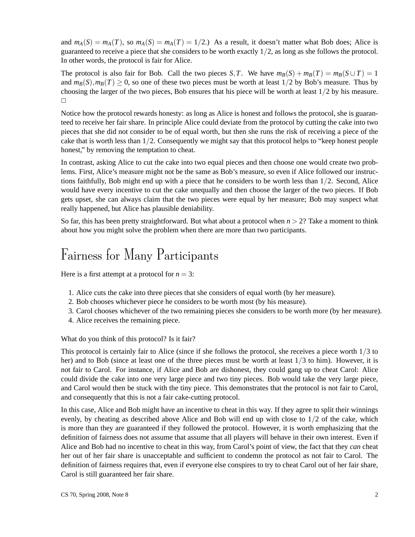and  $m_A(S) = m_A(T)$ , so  $m_A(S) = m_A(T) = 1/2$ .) As a result, it doesn't matter what Bob does; Alice is guaranteed to receive a piece that she considers to be worth exactly 1/2, as long as she follows the protocol. In other words, the protocol is fair for Alice.

The protocol is also fair for Bob. Call the two pieces *S*, *T*. We have  $m_B(S) + m_B(T) = m_B(S \cup T) = 1$ and  $m_B(S), m_B(T) \ge 0$ , so one of these two pieces must be worth at least  $1/2$  by Bob's measure. Thus by choosing the larger of the two pieces, Bob ensures that his piece will be worth at least  $1/2$  by his measure.  $\Box$ 

Notice how the protocol rewards honesty: as long as Alice is honest and follows the protocol, she is guaranteed to receive her fair share. In principle Alice could deviate from the protocol by cutting the cake into two pieces that she did not consider to be of equal worth, but then she runs the risk of receiving a piece of the cake that is worth less than 1/2. Consequently we might say that this protocol helps to "keep honest people honest," by removing the temptation to cheat.

In contrast, asking Alice to cut the cake into two equal pieces and then choose one would create two problems. First, Alice's measure might not be the same as Bob's measure, so even if Alice followed our instructions faithfully, Bob might end up with a piece that he considers to be worth less than 1/2. Second, Alice would have every incentive to cut the cake unequally and then choose the larger of the two pieces. If Bob gets upset, she can always claim that the two pieces were equal by her measure; Bob may suspect what really happened, but Alice has plausible deniability.

So far, this has been pretty straightforward. But what about a protocol when  $n > 2$ ? Take a moment to think about how you might solve the problem when there are more than two participants.

## Fairness for Many Participants

Here is a first attempt at a protocol for  $n = 3$ :

- 1. Alice cuts the cake into three pieces that she considers of equal worth (by her measure).
- 2. Bob chooses whichever piece he considers to be worth most (by his measure).
- 3. Carol chooses whichever of the two remaining pieces she considers to be worth more (by her measure).
- 4. Alice receives the remaining piece.

What do you think of this protocol? Is it fair?

This protocol is certainly fair to Alice (since if she follows the protocol, she receives a piece worth 1/3 to her) and to Bob (since at least one of the three pieces must be worth at least  $1/3$  to him). However, it is not fair to Carol. For instance, if Alice and Bob are dishonest, they could gang up to cheat Carol: Alice could divide the cake into one very large piece and two tiny pieces. Bob would take the very large piece, and Carol would then be stuck with the tiny piece. This demonstrates that the protocol is not fair to Carol, and consequently that this is not a fair cake-cutting protocol.

In this case, Alice and Bob might have an incentive to cheat in this way. If they agree to split their winnings evenly, by cheating as described above Alice and Bob will end up with close to  $1/2$  of the cake, which is more than they are guaranteed if they followed the protocol. However, it is worth emphasizing that the definition of fairness does not assume that assume that all players will behave in their own interest. Even if Alice and Bob had no incentive to cheat in this way, from Carol's point of view, the fact that they *can* cheat her out of her fair share is unacceptable and sufficient to condemn the protocol as not fair to Carol. The definition of fairness requires that, even if everyone else conspires to try to cheat Carol out of her fair share, Carol is still guaranteed her fair share.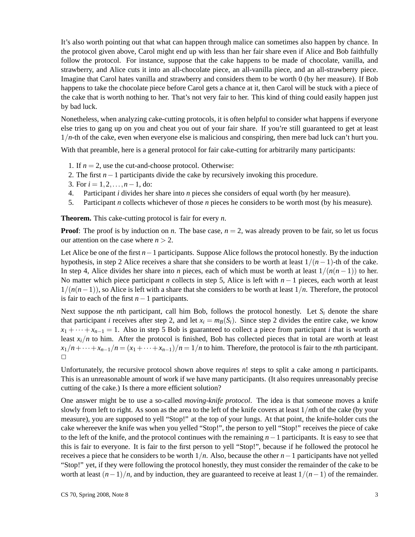It's also worth pointing out that what can happen through malice can sometimes also happen by chance. In the protocol given above, Carol might end up with less than her fair share even if Alice and Bob faithfully follow the protocol. For instance, suppose that the cake happens to be made of chocolate, vanilla, and strawberry, and Alice cuts it into an all-chocolate piece, an all-vanilla piece, and an all-strawberry piece. Imagine that Carol hates vanilla and strawberry and considers them to be worth 0 (by her measure). If Bob happens to take the chocolate piece before Carol gets a chance at it, then Carol will be stuck with a piece of the cake that is worth nothing to her. That's not very fair to her. This kind of thing could easily happen just by bad luck.

Nonetheless, when analyzing cake-cutting protocols, it is often helpful to consider what happens if everyone else tries to gang up on you and cheat you out of your fair share. If you're still guaranteed to get at least 1/*n*-th of the cake, even when everyone else is malicious and conspiring, then mere bad luck can't hurt you.

With that preamble, here is a general protocol for fair cake-cutting for arbitrarily many participants:

- 1. If  $n = 2$ , use the cut-and-choose protocol. Otherwise:
- 2. The first *n*−1 participants divide the cake by recursively invoking this procedure.
- 3. For  $i = 1, 2, ..., n-1$ , do:
- 4. Participant *i* divides her share into *n* pieces she considers of equal worth (by her measure).
- 5. Participant *n* collects whichever of those *n* pieces he considers to be worth most (by his measure).

**Theorem.** This cake-cutting protocol is fair for every *n*.

**Proof**: The proof is by induction on *n*. The base case,  $n = 2$ , was already proven to be fair, so let us focus our attention on the case where  $n > 2$ .

Let Alice be one of the first *n*−1 participants. Suppose Alice follows the protocol honestly. By the induction hypothesis, in step 2 Alice receives a share that she considers to be worth at least 1/(*n*−1)-th of the cake. In step 4, Alice divides her share into *n* pieces, each of which must be worth at least  $1/(n(n-1))$  to her. No matter which piece participant *n* collects in step 5, Alice is left with *n* − 1 pieces, each worth at least  $1/(n(n-1))$ , so Alice is left with a share that she considers to be worth at least  $1/n$ . Therefore, the protocol is fair to each of the first *n*−1 participants.

Next suppose the *n*th participant, call him Bob, follows the protocol honestly. Let  $S_i$  denote the share that participant *i* receives after step 2, and let  $x_i = m_B(S_i)$ . Since step 2 divides the entire cake, we know  $x_1 + \cdots + x_{n-1} = 1$ . Also in step 5 Bob is guaranteed to collect a piece from participant *i* that is worth at least  $x_i/n$  to him. After the protocol is finished, Bob has collected pieces that in total are worth at least  $x_1/n + \cdots + x_{n-1}/n = (x_1 + \cdots + x_{n-1})/n = 1/n$  to him. Therefore, the protocol is fair to the *n*th participant.  $\Box$ 

Unfortunately, the recursive protocol shown above requires *n*! steps to split a cake among *n* participants. This is an unreasonable amount of work if we have many participants. (It also requires unreasonably precise cutting of the cake.) Is there a more efficient solution?

One answer might be to use a so-called *moving-knife protocol*. The idea is that someone moves a knife slowly from left to right. As soon as the area to the left of the knife covers at least 1/*n*th of the cake (by your measure), you are supposed to yell "Stop!" at the top of your lungs. At that point, the knife-holder cuts the cake whereever the knife was when you yelled "Stop!", the person to yell "Stop!" receives the piece of cake to the left of the knife, and the protocol continues with the remaining *n*−1 participants. It is easy to see that this is fair to everyone. It is fair to the first person to yell "Stop!", because if he followed the protocol he receives a piece that he considers to be worth 1/*n*. Also, because the other *n*−1 participants have not yelled "Stop!" yet, if they were following the protocol honestly, they must consider the remainder of the cake to be worth at least  $(n-1)/n$ , and by induction, they are guaranteed to receive at least  $1/(n-1)$  of the remainder.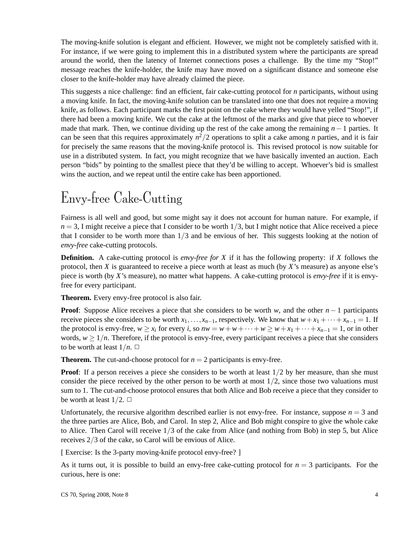The moving-knife solution is elegant and efficient. However, we might not be completely satisfied with it. For instance, if we were going to implement this in a distributed system where the participants are spread around the world, then the latency of Internet connections poses a challenge. By the time my "Stop!" message reaches the knife-holder, the knife may have moved on a significant distance and someone else closer to the knife-holder may have already claimed the piece.

This suggests a nice challenge: find an efficient, fair cake-cutting protocol for *n* participants, without using a moving knife. In fact, the moving-knife solution can be translated into one that does not require a moving knife, as follows. Each participant marks the first point on the cake where they would have yelled "Stop!", if there had been a moving knife. We cut the cake at the leftmost of the marks and give that piece to whoever made that mark. Then, we continue dividing up the rest of the cake among the remaining *n*−1 parties. It can be seen that this requires approximately *n* <sup>2</sup>/2 operations to split a cake among *n* parties, and it is fair for precisely the same reasons that the moving-knife protocol is. This revised protocol is now suitable for use in a distributed system. In fact, you might recognize that we have basically invented an auction. Each person "bids" by pointing to the smallest piece that they'd be willing to accept. Whoever's bid is smallest wins the auction, and we repeat until the entire cake has been apportioned.

## Envy-free Cake-Cutting

Fairness is all well and good, but some might say it does not account for human nature. For example, if  $n = 3$ , I might receive a piece that I consider to be worth  $1/3$ , but I might notice that Alice received a piece that I consider to be worth more than  $1/3$  and be envious of her. This suggests looking at the notion of *envy-free* cake-cutting protocols.

**Definition.** A cake-cutting protocol is *envy-free for X* if it has the following property: if *X* follows the protocol, then *X* is guaranteed to receive a piece worth at least as much (by *X*'s measure) as anyone else's piece is worth (by *X*'s measure), no matter what happens. A cake-cutting protocol is *envy-free* if it is envyfree for every participant.

**Theorem.** Every envy-free protocol is also fair.

**Proof**: Suppose Alice receives a piece that she considers to be worth *w*, and the other  $n-1$  participants receive pieces she considers to be worth  $x_1, \ldots, x_{n-1}$ , respectively. We know that  $w + x_1 + \cdots + x_{n-1} = 1$ . If the protocol is envy-free,  $w \ge x_i$  for every *i*, so  $nw = w + w + \cdots + w \ge w + x_1 + \cdots + x_{n-1} = 1$ , or in other words,  $w > 1/n$ . Therefore, if the protocol is envy-free, every participant receives a piece that she considers to be worth at least  $1/n$ .  $\Box$ 

**Theorem.** The cut-and-choose protocol for  $n = 2$  participants is envy-free.

**Proof**: If a person receives a piece she considers to be worth at least  $1/2$  by her measure, than she must consider the piece received by the other person to be worth at most  $1/2$ , since those two valuations must sum to 1. The cut-and-choose protocol ensures that both Alice and Bob receive a piece that they consider to be worth at least  $1/2$ .  $\Box$ 

Unfortunately, the recursive algorithm described earlier is not envy-free. For instance, suppose  $n = 3$  and the three parties are Alice, Bob, and Carol. In step 2, Alice and Bob might conspire to give the whole cake to Alice. Then Carol will receive 1/3 of the cake from Alice (and nothing from Bob) in step 5, but Alice receives 2/3 of the cake, so Carol will be envious of Alice.

[ Exercise: Is the 3-party moving-knife protocol envy-free? ]

As it turns out, it is possible to build an envy-free cake-cutting protocol for  $n = 3$  participants. For the curious, here is one: